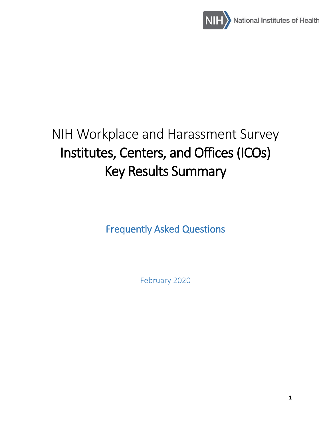

# NIH Workplace and Harassment Survey Institutes, Centers, and Offices (ICOs) Key Results Summary

Frequently Asked Questions

February 2020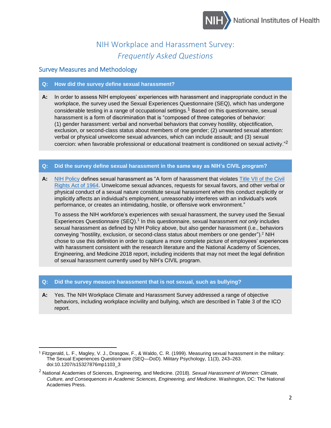

## NIH Workplace and Harassment Survey: *Frequently Asked Questions*

## Survey Measures and Methodology

 $\overline{\phantom{a}}$ 

## **Q: How did the survey define sexual harassment?**

**A:** In order to assess NIH employees' experiences with harassment and inappropriate conduct in the workplace, the survey used the Sexual Experiences Questionnaire (SEQ), which has undergone considerable testing in a range of occupational settings.<sup>1</sup> Based on this questionnaire, sexual harassment is a form of discrimination that is "composed of three categories of behavior: (1) gender harassment: verbal and nonverbal behaviors that convey hostility, objectification, exclusion, or second-class status about members of one gender; (2) unwanted sexual attention: verbal or physical unwelcome sexual advances, which can include assault; and (3) sexual coercion: when favorable professional or educational treatment is conditioned on sexual activity."<sup>2</sup>

## **Q: Did the survey define sexual harassment in the same way as NIH's CIVIL program?**

**A:** [NIH Policy](https://policymanual.nih.gov/1311) defines sexual harassment as "A form of harassment that violates [Title VII of the Civil](https://www.eeoc.gov/laws/statutes/titlevii.cfm)  [Rights Act of 1964.](https://www.eeoc.gov/laws/statutes/titlevii.cfm) Unwelcome sexual advances, requests for sexual favors, and other verbal or physical conduct of a sexual nature constitute sexual harassment when this conduct explicitly or implicitly affects an individual's employment, unreasonably interferes with an individual's work performance, or creates an intimidating, hostile, or offensive work environment."

To assess the NIH workforce's experiences with sexual harassment, the survey used the Sexual Experiences Questionnaire (SEQ).<sup>1</sup> In this questionnaire, sexual harassment *not only* includes sexual harassment as defined by NIH Policy above, but also gender harassment (i.e., behaviors conveying "hostility, exclusion, or second-class status about members or one gender"). <sup>2</sup> NIH chose to use this definition in order to capture a more complete picture of employees' experiences with harassment consistent with the research literature and the National Academy of Sciences, Engineering, and Medicine 2018 report, including incidents that may not meet the legal definition of sexual harassment currently used by NIH's CIVIL program.

## **Q: [Did the survey measure harassment that is not sexual, such as bullying?](https://diversity.nih.gov/building-evidence/harassment-survey/faq#answer17)**

**A:** Yes. The NIH Workplace Climate and Harassment Survey addressed a range of objective behaviors, including workplace incivility and bullying, which are described in Table 3 of the ICO report.

<sup>1</sup> Fitzgerald, L. F., Magley, V. J., Drasgow, F., & Waldo, C. R. (1999). Measuring sexual harassment in the military: The Sexual Experiences Questionnaire (SEQ—DoD). Military Psychology, 11(3), 243–263. doi:10.1207/s15327876mp1103\_3

<sup>2</sup> National Academies of Sciences, Engineering, and Medicine. (2018). *Sexual Harassment of Women: Climate, Culture, and Consequences in Academic Sciences, Engineering, and Medicine*. Washington, DC: The National Academies Press.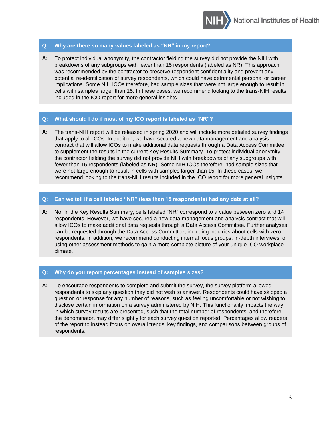

## **Q: Why are there so many values labeled as "NR" in my report?**

**A:** To protect individual anonymity, the contractor fielding the survey did not provide the NIH with breakdowns of any subgroups with fewer than 15 respondents (labeled as NR). This approach was recommended by the contractor to preserve respondent confidentiality and prevent any potential re-identification of survey respondents, which could have detrimental personal or career implications. Some NIH ICOs therefore, had sample sizes that were not large enough to result in cells with samples larger than 15. In these cases, we recommend looking to the trans-NIH results included in the ICO report for more general insights.

## **Q: What should I do if most of my ICO report is labeled as "NR"?**

**A:** The trans-NIH report will be released in spring 2020 and will include more detailed survey findings that apply to all ICOs. In addition, we have secured a new data management and analysis contract that will allow ICOs to make additional data requests through a Data Access Committee to supplement the results in the current Key Results Summary. To protect individual anonymity, the contractor fielding the survey did not provide NIH with breakdowns of any subgroups with fewer than 15 respondents (labeled as NR). Some NIH ICOs therefore, had sample sizes that were not large enough to result in cells with samples larger than 15. In these cases, we recommend looking to the trans-NIH results included in the ICO report for more general insights.

## **Q: Can we tell if a cell labeled "NR" (less than 15 respondents) had any data at all?**

**A:** No. In the Key Results Summary, cells labeled "NR" correspond to a value between zero and 14 respondents. However, we have secured a new data management and analysis contract that will allow ICOs to make additional data requests through a Data Access Committee. Further analyses can be requested through the Data Access Committee, including inquiries about cells with zero respondents. In addition, we recommend conducting internal focus groups, in-depth interviews, or using other assessment methods to gain a more complete picture of your unique ICO workplace climate.

## **Q: Why do you report percentages instead of samples sizes?**

**A:** To encourage respondents to complete and submit the survey, the survey platform allowed respondents to skip any question they did not wish to answer. Respondents could have skipped a question or response for any number of reasons, such as feeling uncomfortable or not wishing to disclose certain information on a survey administered by NIH. This functionality impacts the way in which survey results are presented, such that the total number of respondents, and therefore the denominator, may differ slightly for each survey question reported. Percentages allow readers of the report to instead focus on overall trends, key findings, and comparisons between groups of respondents.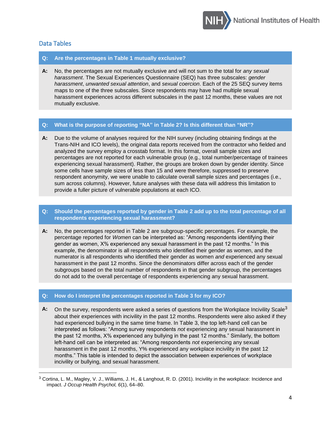

## Data Tables

 $\overline{a}$ 

## **Q: Are the percentages in Table 1 mutually exclusive?**

**A:** No, the percentages are not mutually exclusive and will not sum to the total for *any sexual harassment*. The Sexual Experiences Questionnaire (SEQ) has three subscales: *gender harassment*, *unwanted sexual attention*, and *sexual coercion*. Each of the 25 SEQ survey items maps to one of the three subscales. Since respondents may have had multiple sexual harassment experiences across different subscales in the past 12 months, these values are not mutually exclusive.

## **Q: What is the purpose of reporting "NA" in Table 2? Is this different than "NR"?**

**A:** Due to the volume of analyses required for the NIH survey (including obtaining findings at the Trans-NIH and ICO levels), the original data reports received from the contractor who fielded and analyzed the survey employ a crosstab format. In this format, overall sample sizes and percentages are not reported for each vulnerable group (e.g., total number/percentage of trainees experiencing sexual harassment). Rather, the groups are broken down by gender identity. Since some cells have sample sizes of less than 15 and were therefore, suppressed to preserve respondent anonymity, we were unable to calculate overall sample sizes and percentages (i.e., sum across columns). However, future analyses with these data will address this limitation to provide a fuller picture of vulnerable populations at each ICO.

## **Q: Should the percentages reported by gender in Table 2 add up to the total percentage of all respondents experiencing sexual harassment?**

**A:** No, the percentages reported in Table 2 are subgroup-specific percentages. For example, the percentage reported for *Women* can be interpreted as: "Among respondents identifying their gender as women, X% experienced any sexual harassment in the past 12 months." In this example, the denominator is all respondents who identified their gender as women, and the numerator is all respondents who identified their gender as women *and* experienced any sexual harassment in the past 12 months. Since the denominators differ across each of the gender subgroups based on the total number of respondents in that gender subgroup, the percentages do not add to the overall percentage of respondents experiencing any sexual harassment.

## **Q: How do I interpret the percentages reported in Table 3 for my ICO?**

A: On the survey, respondents were asked a series of questions from the Workplace Incivility Scale<sup>3</sup> about their experiences with incivility in the past 12 months. Respondents were also asked if they had experienced bullying in the same time frame. In Table 3, the top left-hand cell can be interpreted as follows: "Among survey respondents *not* experiencing any sexual harassment in the past 12 months, X% experienced any bullying in the past 12 months." Similarly, the bottom left-hand cell can be interpreted as: "Among respondents *not* experiencing any sexual harassment in the past 12 months, Y% experienced any workplace incivility in the past 12 months." This table is intended to depict the association between experiences of workplace incivility or bullying, and sexual harassment.

<sup>3</sup> Cortina, L. M., Magley, V. J., Williams, J. H., & Langhout, R. D. (2001). Incivility in the workplace: Incidence and impact. *J Occup Health Psychol, 6*(1), 64–80.